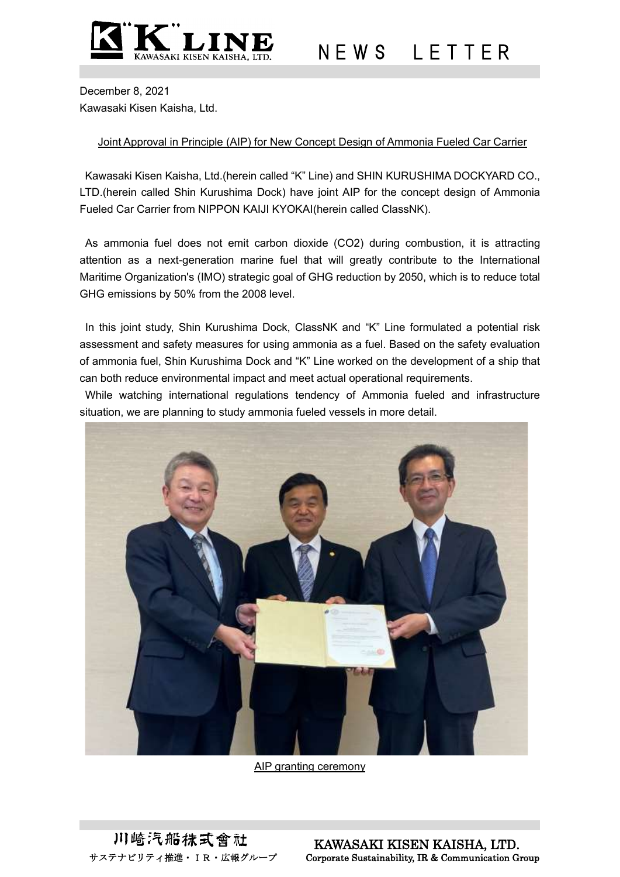

N E W S L E T T E R

December 8, 2021 Kawasaki Kisen Kaisha, Ltd.

## Joint Approval in Principle (AIP) for New Concept Design of Ammonia Fueled Car Carrier

Kawasaki Kisen Kaisha, Ltd.(herein called "K" Line) and SHIN KURUSHIMA DOCKYARD CO., LTD.(herein called Shin Kurushima Dock) have joint AIP for the concept design of Ammonia Fueled Car Carrier from NIPPON KAIJI KYOKAI(herein called ClassNK).

As ammonia fuel does not emit carbon dioxide (CO2) during combustion, it is attracting attention as a next-generation marine fuel that will greatly contribute to the International Maritime Organization's (IMO) strategic goal of GHG reduction by 2050, which is to reduce total GHG emissions by 50% from the 2008 level.

In this joint study, Shin Kurushima Dock, ClassNK and "K" Line formulated a potential risk assessment and safety measures for using ammonia as a fuel. Based on the safety evaluation of ammonia fuel, Shin Kurushima Dock and "K" Line worked on the development of a ship that can both reduce environmental impact and meet actual operational requirements.

While watching international regulations tendency of Ammonia fueled and infrastructure situation, we are planning to study ammonia fueled vessels in more detail.



AIP granting ceremony

川崎汽船抹式會社